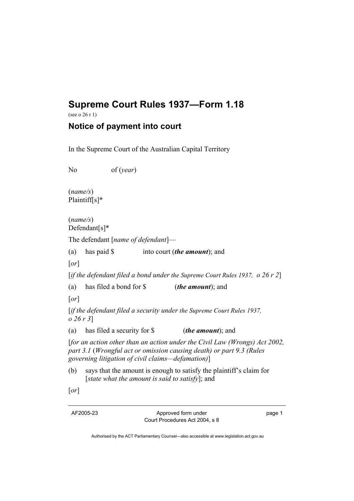## **Supreme Court Rules 1937—Form 1.18**

(see o 26 r 1)

## **Notice of payment into court**

In the Supreme Court of the Australian Capital Territory

No of (*year*)

(*name/s*) Plaintiff[s]\*

(*name/s*) Defendant[s]\*

The defendant [*name of defendant*]—

(a) has paid \$ into court (*the amount*); and

[*or*]

[*if the defendant filed a bond under the Supreme Court Rules 1937, o 26 r 2*]

(a) has filed a bond for \$ (*the amount*); and

[*or*]

[*if the defendant filed a security under the Supreme Court Rules 1937, o 26 r 3*]

(a) has filed a security for \$ (*the amount*); and

[*for an action other than an action under the Civil Law (Wrongs) Act 2002, part 3.1* (*Wrongful act or omission causing death) or part 9.3 (Rules governing litigation of civil claims—defamation)*]

(b) says that the amount is enough to satisfy the plaintiff's claim for [*state what the amount is said to satisfy*]; and

[*or*]

AF2005-23 Approved form under Court Procedures Act 2004, s 8 page 1

Authorised by the ACT Parliamentary Counsel—also accessible at www.legislation.act.gov.au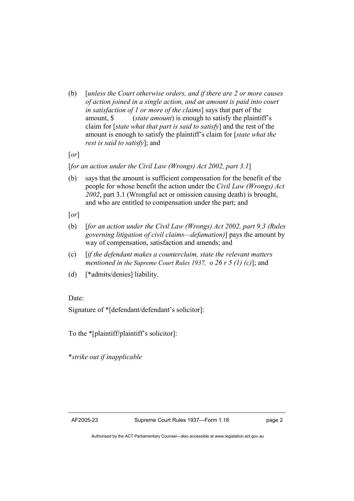(b) [*unless the Court otherwise orders, and if there are 2 or more causes of action joined in a single action, and an amount is paid into court in satisfaction of 1 or more of the claims*] says that part of the amount, \$ (*state amount*) is enough to satisfy the plaintiff's claim for [*state what that part is said to satisfy*] and the rest of the amount is enough to satisfy the plaintiff's claim for [*state what the rest is said to satisfy*]; and

[*or*]

[*for an action under the Civil Law (Wrongs) Act 2002, part 3.1*]

- (b) says that the amount is sufficient compensation for the benefit of the people for whose benefit the action under the *Civil Law (Wrongs) Act 2002*, part 3.1 (Wrongful act or omission causing death) is brought, and who are entitled to compensation under the part; and
- [*or*]
- (b) [*for an action under the Civil Law (Wrongs) Act 2002, part 9.3 (Rules governing litigation of civil claims—defamation)*] pays the amount by way of compensation, satisfaction and amends; and
- (c) [*if the defendant makes a counterclaim, state the relevant matters mentioned in the Supreme Court Rules 1937, o 26 r 5 (1) (c)*]; and
- (d) [\*admits/denies] liability.

Date:

Signature of \*[defendant/defendant's solicitor]:

To the \*[plaintiff/plaintiff's solicitor]:

\**strike out if inapplicable*